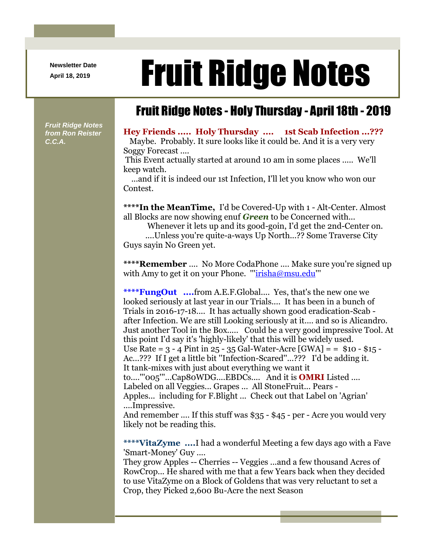**Newsletter Date**

## April 18, 2019 **Fruit Ridge Notes**

## Fruit Ridge Notes - Holy Thursday - April 18th - 2019

*Fruit Ridge Notes from Ron Reister C.C.A.*

## **Hey Friends ..... Holy Thursday .... 1st Scab Infection ...???**

Maybe. Probably. It sure looks like it could be. And it is a very very Soggy Forecast ....

This Event actually started at around 10 am in some places ..... We'll keep watch.

...and if it is indeed our 1st Infection, I'll let you know who won our Contest.

**\*\*\*\*In the MeanTime,** I'd be Covered-Up with 1 - Alt-Center. Almost all Blocks are now showing enuf *Green* to be Concerned with...

Whenever it lets up and its good-goin, I'd get the 2nd-Center on.

....Unless you're quite-a-ways Up North...?? Some Traverse City Guys sayin No Green yet.

**\*\*\*\*Remember** .... No More CodaPhone .... Make sure you're signed up with Amy to get it on your Phone. "'irisha@msu.edu"

**\*\*\*\*FungOut ....**from A.E.F.Global.... Yes, that's the new one we looked seriously at last year in our Trials.... It has been in a bunch of Trials in 2016-17-18.... It has actually shown good eradication-Scab after Infection. We are still Looking seriously at it.... and so is Alicandro. Just another Tool in the Box..... Could be a very good impressive Tool. At this point I'd say it's 'highly-likely' that this will be widely used. Use Rate =  $3 - 4$  Pint in  $25 - 35$  Gal-Water-Acre [GWA] =  $\pm$  \$10 - \$15 -Ac...??? If I get a little bit ''Infection-Scared''...??? I'd be adding it. It tank-mixes with just about everything we want it to....'''005'''...Cap80WDG....EBDCs.... And it is **OMRI** Listed .... Labeled on all Veggies... Grapes ... All StoneFruit... Pears - Apples... including for F.Blight ... Check out that Label on 'Agrian' ....Impressive. And remember .... If this stuff was \$35 - \$45 - per - Acre you would very likely not be reading this.

**\*\*\*\*VitaZyme ....**I had a wonderful Meeting a few days ago with a Fave 'Smart-Money' Guy ....

They grow Apples -- Cherries -- Veggies ...and a few thousand Acres of RowCrop... He shared with me that a few Years back when they decided to use VitaZyme on a Block of Goldens that was very reluctant to set a Crop, they Picked 2,600 Bu-Acre the next Season